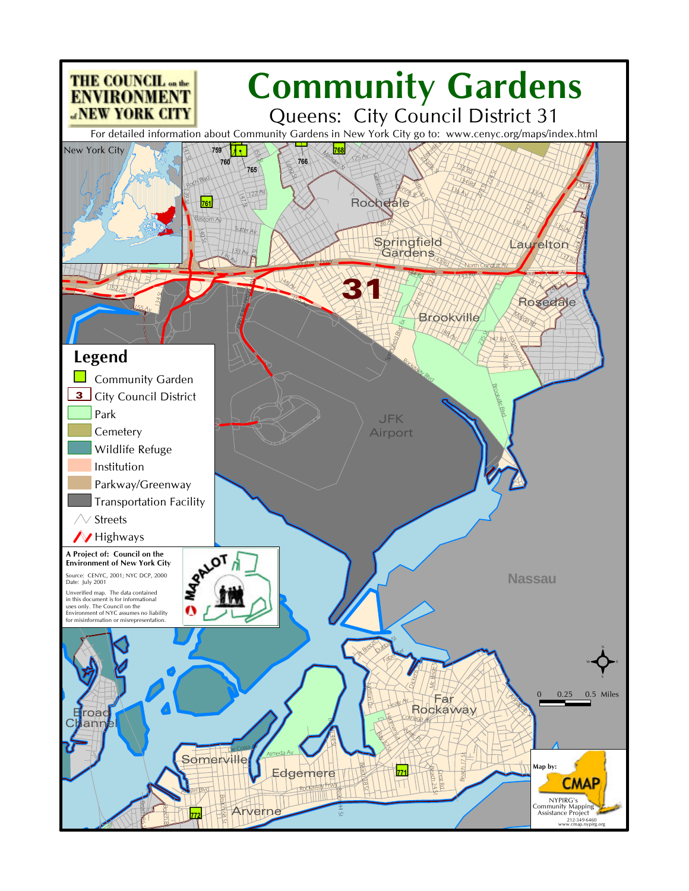